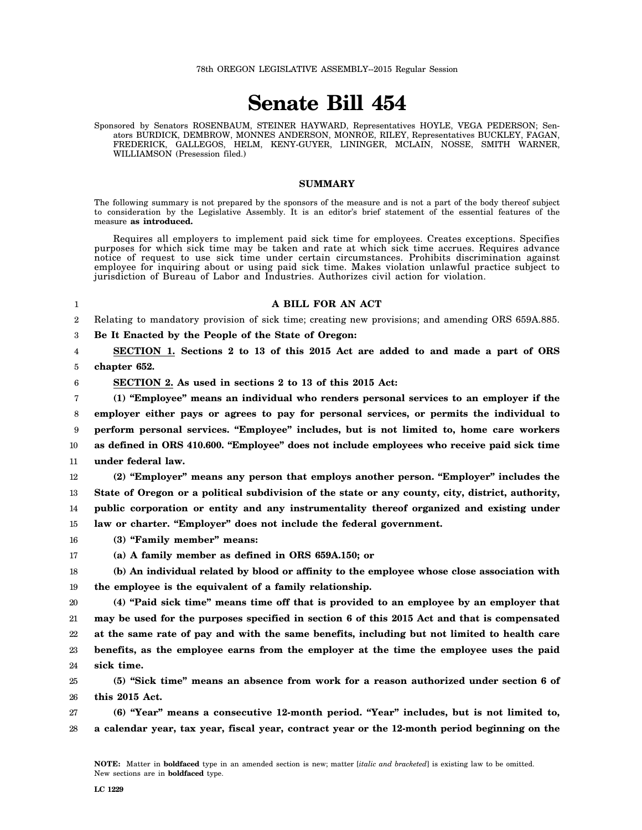78th OREGON LEGISLATIVE ASSEMBLY--2015 Regular Session

# **Senate Bill 454**

Sponsored by Senators ROSENBAUM, STEINER HAYWARD, Representatives HOYLE, VEGA PEDERSON; Senators BURDICK, DEMBROW, MONNES ANDERSON, MONROE, RILEY, Representatives BUCKLEY, FAGAN, FREDERICK, GALLEGOS, HELM, KENY-GUYER, LININGER, MCLAIN, NOSSE, SMITH WARNER, WILLIAMSON (Presession filed.)

## **SUMMARY**

The following summary is not prepared by the sponsors of the measure and is not a part of the body thereof subject to consideration by the Legislative Assembly. It is an editor's brief statement of the essential features of the measure **as introduced.**

Requires all employers to implement paid sick time for employees. Creates exceptions. Specifies purposes for which sick time may be taken and rate at which sick time accrues. Requires advance notice of request to use sick time under certain circumstances. Prohibits discrimination against employee for inquiring about or using paid sick time. Makes violation unlawful practice subject to jurisdiction of Bureau of Labor and Industries. Authorizes civil action for violation.

#### 1

6

## **A BILL FOR AN ACT**

2 Relating to mandatory provision of sick time; creating new provisions; and amending ORS 659A.885.

3 **Be It Enacted by the People of the State of Oregon:**

4 5 **SECTION 1. Sections 2 to 13 of this 2015 Act are added to and made a part of ORS chapter 652.**

**SECTION 2. As used in sections 2 to 13 of this 2015 Act:**

7 8 9 10 11 **(1) "Employee" means an individual who renders personal services to an employer if the employer either pays or agrees to pay for personal services, or permits the individual to perform personal services. "Employee" includes, but is not limited to, home care workers as defined in ORS 410.600. "Employee" does not include employees who receive paid sick time under federal law.**

12 13 14 15 **(2) "Employer" means any person that employs another person. "Employer" includes the State of Oregon or a political subdivision of the state or any county, city, district, authority, public corporation or entity and any instrumentality thereof organized and existing under law or charter. "Employer" does not include the federal government.**

16 **(3) "Family member" means:**

17 **(a) A family member as defined in ORS 659A.150; or**

18 19 **(b) An individual related by blood or affinity to the employee whose close association with the employee is the equivalent of a family relationship.**

20 21 22 23 24 **(4) "Paid sick time" means time off that is provided to an employee by an employer that may be used for the purposes specified in section 6 of this 2015 Act and that is compensated at the same rate of pay and with the same benefits, including but not limited to health care benefits, as the employee earns from the employer at the time the employee uses the paid sick time.**

25 26 **(5) "Sick time" means an absence from work for a reason authorized under section 6 of this 2015 Act.**

27 28 **(6) "Year" means a consecutive 12-month period. "Year" includes, but is not limited to, a calendar year, tax year, fiscal year, contract year or the 12-month period beginning on the**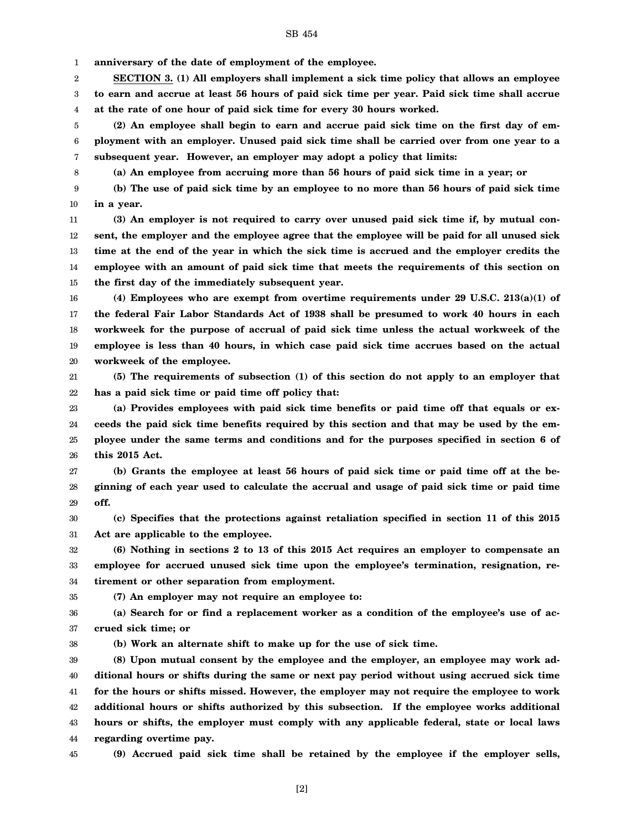1 **anniversary of the date of employment of the employee.**

2 3 4 **SECTION 3. (1) All employers shall implement a sick time policy that allows an employee to earn and accrue at least 56 hours of paid sick time per year. Paid sick time shall accrue at the rate of one hour of paid sick time for every 30 hours worked.**

5 6 7 **(2) An employee shall begin to earn and accrue paid sick time on the first day of employment with an employer. Unused paid sick time shall be carried over from one year to a subsequent year. However, an employer may adopt a policy that limits:**

**(a) An employee from accruing more than 56 hours of paid sick time in a year; or**

9 10 **(b) The use of paid sick time by an employee to no more than 56 hours of paid sick time in a year.**

11 12 13 14 15 **(3) An employer is not required to carry over unused paid sick time if, by mutual consent, the employer and the employee agree that the employee will be paid for all unused sick time at the end of the year in which the sick time is accrued and the employer credits the employee with an amount of paid sick time that meets the requirements of this section on the first day of the immediately subsequent year.**

16 17 18 19 20 **(4) Employees who are exempt from overtime requirements under 29 U.S.C. 213(a)(1) of the federal Fair Labor Standards Act of 1938 shall be presumed to work 40 hours in each workweek for the purpose of accrual of paid sick time unless the actual workweek of the employee is less than 40 hours, in which case paid sick time accrues based on the actual workweek of the employee.**

21 22 **(5) The requirements of subsection (1) of this section do not apply to an employer that has a paid sick time or paid time off policy that:**

23 24 25 26 **(a) Provides employees with paid sick time benefits or paid time off that equals or exceeds the paid sick time benefits required by this section and that may be used by the employee under the same terms and conditions and for the purposes specified in section 6 of this 2015 Act.**

27 28 29 **(b) Grants the employee at least 56 hours of paid sick time or paid time off at the beginning of each year used to calculate the accrual and usage of paid sick time or paid time off.**

30 31 **(c) Specifies that the protections against retaliation specified in section 11 of this 2015 Act are applicable to the employee.**

32 33 34 **(6) Nothing in sections 2 to 13 of this 2015 Act requires an employer to compensate an employee for accrued unused sick time upon the employee's termination, resignation, retirement or other separation from employment.**

35

8

**(7) An employer may not require an employee to:**

36 37 **(a) Search for or find a replacement worker as a condition of the employee's use of accrued sick time; or**

38

**(b) Work an alternate shift to make up for the use of sick time.**

39 40 41 42 43 44 **(8) Upon mutual consent by the employee and the employer, an employee may work additional hours or shifts during the same or next pay period without using accrued sick time for the hours or shifts missed. However, the employer may not require the employee to work additional hours or shifts authorized by this subsection. If the employee works additional hours or shifts, the employer must comply with any applicable federal, state or local laws regarding overtime pay.**

45

**(9) Accrued paid sick time shall be retained by the employee if the employer sells,**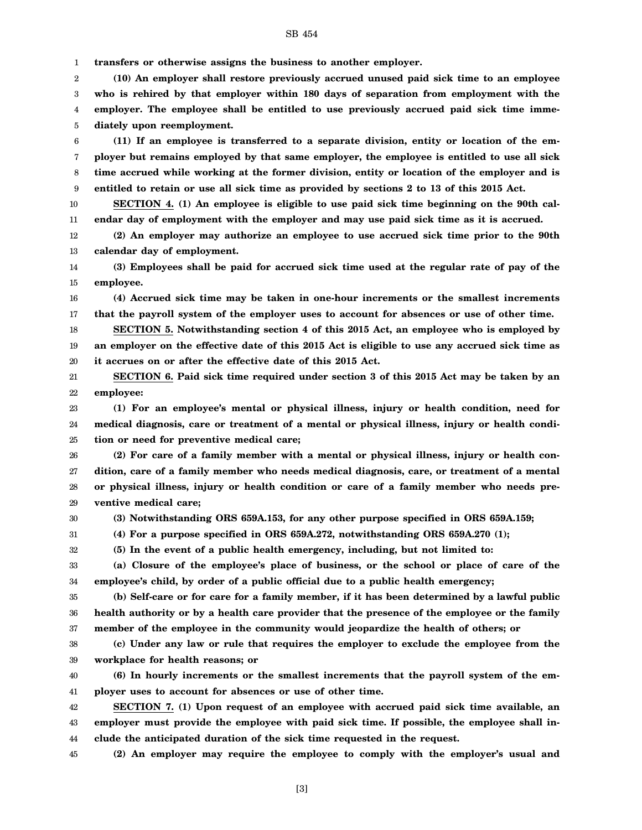SB 454

1 **transfers or otherwise assigns the business to another employer.**

2 3 4 5 **(10) An employer shall restore previously accrued unused paid sick time to an employee who is rehired by that employer within 180 days of separation from employment with the employer. The employee shall be entitled to use previously accrued paid sick time immediately upon reemployment.**

6 7 8 9 **(11) If an employee is transferred to a separate division, entity or location of the employer but remains employed by that same employer, the employee is entitled to use all sick time accrued while working at the former division, entity or location of the employer and is entitled to retain or use all sick time as provided by sections 2 to 13 of this 2015 Act.**

10 11 **SECTION 4. (1) An employee is eligible to use paid sick time beginning on the 90th calendar day of employment with the employer and may use paid sick time as it is accrued.**

12 13 **(2) An employer may authorize an employee to use accrued sick time prior to the 90th calendar day of employment.**

14 15 **(3) Employees shall be paid for accrued sick time used at the regular rate of pay of the employee.**

16 17 **(4) Accrued sick time may be taken in one-hour increments or the smallest increments that the payroll system of the employer uses to account for absences or use of other time.**

18 19 20 **SECTION 5. Notwithstanding section 4 of this 2015 Act, an employee who is employed by an employer on the effective date of this 2015 Act is eligible to use any accrued sick time as it accrues on or after the effective date of this 2015 Act.**

21 22 **SECTION 6. Paid sick time required under section 3 of this 2015 Act may be taken by an employee:**

23 24 25 **(1) For an employee's mental or physical illness, injury or health condition, need for medical diagnosis, care or treatment of a mental or physical illness, injury or health condition or need for preventive medical care;**

26 27 28 29 **(2) For care of a family member with a mental or physical illness, injury or health condition, care of a family member who needs medical diagnosis, care, or treatment of a mental or physical illness, injury or health condition or care of a family member who needs preventive medical care;**

30

**(3) Notwithstanding ORS 659A.153, for any other purpose specified in ORS 659A.159;**

31 **(4) For a purpose specified in ORS 659A.272, notwithstanding ORS 659A.270 (1);**

32 **(5) In the event of a public health emergency, including, but not limited to:**

33 34 **(a) Closure of the employee's place of business, or the school or place of care of the employee's child, by order of a public official due to a public health emergency;**

35 36 37 **(b) Self-care or for care for a family member, if it has been determined by a lawful public health authority or by a health care provider that the presence of the employee or the family member of the employee in the community would jeopardize the health of others; or**

38 39 **(c) Under any law or rule that requires the employer to exclude the employee from the workplace for health reasons; or**

40 41 **(6) In hourly increments or the smallest increments that the payroll system of the employer uses to account for absences or use of other time.**

42 43 44 **SECTION 7. (1) Upon request of an employee with accrued paid sick time available, an employer must provide the employee with paid sick time. If possible, the employee shall include the anticipated duration of the sick time requested in the request.**

45 **(2) An employer may require the employee to comply with the employer's usual and**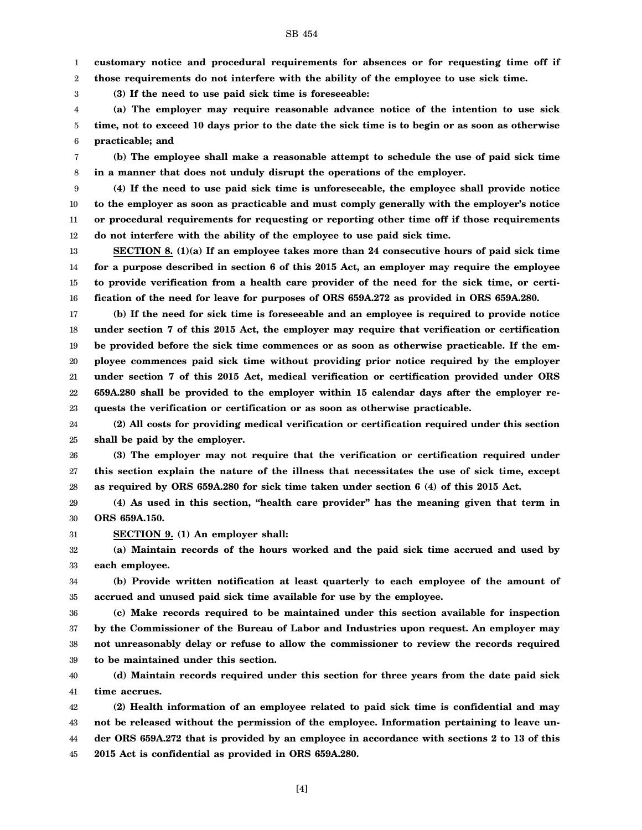SB 454

1 **customary notice and procedural requirements for absences or for requesting time off if**

2 **those requirements do not interfere with the ability of the employee to use sick time.**

**(3) If the need to use paid sick time is foreseeable:**

3

4 5 6 **(a) The employer may require reasonable advance notice of the intention to use sick time, not to exceed 10 days prior to the date the sick time is to begin or as soon as otherwise practicable; and**

7 8 **(b) The employee shall make a reasonable attempt to schedule the use of paid sick time in a manner that does not unduly disrupt the operations of the employer.**

9 10 11 12 **(4) If the need to use paid sick time is unforeseeable, the employee shall provide notice to the employer as soon as practicable and must comply generally with the employer's notice or procedural requirements for requesting or reporting other time off if those requirements do not interfere with the ability of the employee to use paid sick time.**

13 14 15 16 **SECTION 8. (1)(a) If an employee takes more than 24 consecutive hours of paid sick time for a purpose described in section 6 of this 2015 Act, an employer may require the employee to provide verification from a health care provider of the need for the sick time, or certification of the need for leave for purposes of ORS 659A.272 as provided in ORS 659A.280.**

17 18 19 20 21 22 23 **(b) If the need for sick time is foreseeable and an employee is required to provide notice under section 7 of this 2015 Act, the employer may require that verification or certification be provided before the sick time commences or as soon as otherwise practicable. If the employee commences paid sick time without providing prior notice required by the employer under section 7 of this 2015 Act, medical verification or certification provided under ORS 659A.280 shall be provided to the employer within 15 calendar days after the employer requests the verification or certification or as soon as otherwise practicable.**

24 25 **(2) All costs for providing medical verification or certification required under this section shall be paid by the employer.**

26 27 28 **(3) The employer may not require that the verification or certification required under this section explain the nature of the illness that necessitates the use of sick time, except as required by ORS 659A.280 for sick time taken under section 6 (4) of this 2015 Act.**

29 30 **(4) As used in this section, "health care provider" has the meaning given that term in ORS 659A.150.**

31 **SECTION 9. (1) An employer shall:**

32 33 **(a) Maintain records of the hours worked and the paid sick time accrued and used by each employee.**

34 35 **(b) Provide written notification at least quarterly to each employee of the amount of accrued and unused paid sick time available for use by the employee.**

36 37 38 39 **(c) Make records required to be maintained under this section available for inspection by the Commissioner of the Bureau of Labor and Industries upon request. An employer may not unreasonably delay or refuse to allow the commissioner to review the records required to be maintained under this section.**

40 41 **(d) Maintain records required under this section for three years from the date paid sick time accrues.**

42 43 44 45 **(2) Health information of an employee related to paid sick time is confidential and may not be released without the permission of the employee. Information pertaining to leave under ORS 659A.272 that is provided by an employee in accordance with sections 2 to 13 of this 2015 Act is confidential as provided in ORS 659A.280.**

[4]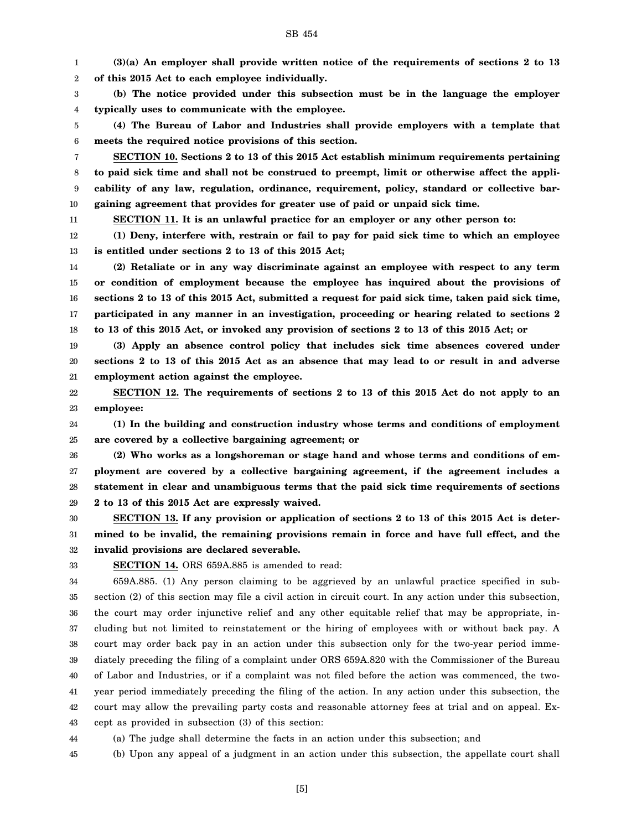1 2 **(3)(a) An employer shall provide written notice of the requirements of sections 2 to 13 of this 2015 Act to each employee individually.**

3 4 **(b) The notice provided under this subsection must be in the language the employer typically uses to communicate with the employee.**

5 6 **(4) The Bureau of Labor and Industries shall provide employers with a template that meets the required notice provisions of this section.**

7 8 9 10 **SECTION 10. Sections 2 to 13 of this 2015 Act establish minimum requirements pertaining to paid sick time and shall not be construed to preempt, limit or otherwise affect the applicability of any law, regulation, ordinance, requirement, policy, standard or collective bargaining agreement that provides for greater use of paid or unpaid sick time.**

**SECTION 11. It is an unlawful practice for an employer or any other person to:**

12 13 **(1) Deny, interfere with, restrain or fail to pay for paid sick time to which an employee is entitled under sections 2 to 13 of this 2015 Act;**

14 15 16 17 18 **(2) Retaliate or in any way discriminate against an employee with respect to any term or condition of employment because the employee has inquired about the provisions of sections 2 to 13 of this 2015 Act, submitted a request for paid sick time, taken paid sick time, participated in any manner in an investigation, proceeding or hearing related to sections 2 to 13 of this 2015 Act, or invoked any provision of sections 2 to 13 of this 2015 Act; or**

19 20 21 **(3) Apply an absence control policy that includes sick time absences covered under sections 2 to 13 of this 2015 Act as an absence that may lead to or result in and adverse employment action against the employee.**

22 23 **SECTION 12. The requirements of sections 2 to 13 of this 2015 Act do not apply to an employee:**

24 25 **(1) In the building and construction industry whose terms and conditions of employment are covered by a collective bargaining agreement; or**

26 27 28 29 **(2) Who works as a longshoreman or stage hand and whose terms and conditions of employment are covered by a collective bargaining agreement, if the agreement includes a statement in clear and unambiguous terms that the paid sick time requirements of sections 2 to 13 of this 2015 Act are expressly waived.**

30 31 32 **SECTION 13. If any provision or application of sections 2 to 13 of this 2015 Act is determined to be invalid, the remaining provisions remain in force and have full effect, and the invalid provisions are declared severable.**

33

44

11

**SECTION 14.** ORS 659A.885 is amended to read:

34 35 36 37 38 39 40 41 42 43 659A.885. (1) Any person claiming to be aggrieved by an unlawful practice specified in subsection (2) of this section may file a civil action in circuit court. In any action under this subsection, the court may order injunctive relief and any other equitable relief that may be appropriate, including but not limited to reinstatement or the hiring of employees with or without back pay. A court may order back pay in an action under this subsection only for the two-year period immediately preceding the filing of a complaint under ORS 659A.820 with the Commissioner of the Bureau of Labor and Industries, or if a complaint was not filed before the action was commenced, the twoyear period immediately preceding the filing of the action. In any action under this subsection, the court may allow the prevailing party costs and reasonable attorney fees at trial and on appeal. Except as provided in subsection (3) of this section:

(a) The judge shall determine the facts in an action under this subsection; and

45 (b) Upon any appeal of a judgment in an action under this subsection, the appellate court shall

SB 454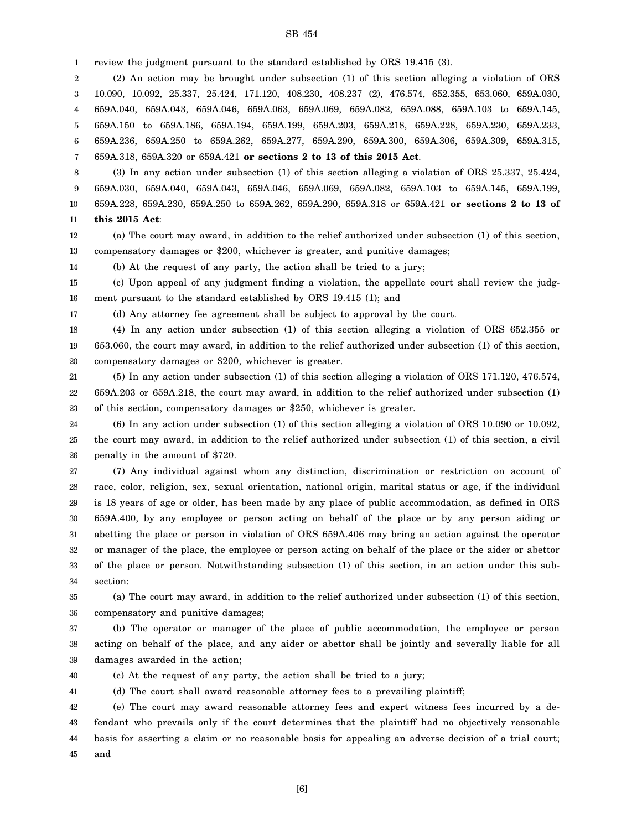1 review the judgment pursuant to the standard established by ORS 19.415 (3).

2 3 4 5 6 7 (2) An action may be brought under subsection (1) of this section alleging a violation of ORS 10.090, 10.092, 25.337, 25.424, 171.120, 408.230, 408.237 (2), 476.574, 652.355, 653.060, 659A.030, 659A.040, 659A.043, 659A.046, 659A.063, 659A.069, 659A.082, 659A.088, 659A.103 to 659A.145, 659A.150 to 659A.186, 659A.194, 659A.199, 659A.203, 659A.218, 659A.228, 659A.230, 659A.233, 659A.236, 659A.250 to 659A.262, 659A.277, 659A.290, 659A.300, 659A.306, 659A.309, 659A.315, 659A.318, 659A.320 or 659A.421 **or sections 2 to 13 of this 2015 Act**.

8 9 10 11 (3) In any action under subsection (1) of this section alleging a violation of ORS 25.337, 25.424, 659A.030, 659A.040, 659A.043, 659A.046, 659A.069, 659A.082, 659A.103 to 659A.145, 659A.199, 659A.228, 659A.230, 659A.250 to 659A.262, 659A.290, 659A.318 or 659A.421 **or sections 2 to 13 of this 2015 Act**:

12 13 (a) The court may award, in addition to the relief authorized under subsection (1) of this section, compensatory damages or \$200, whichever is greater, and punitive damages;

14 (b) At the request of any party, the action shall be tried to a jury;

15 16 (c) Upon appeal of any judgment finding a violation, the appellate court shall review the judgment pursuant to the standard established by ORS 19.415 (1); and

17

(d) Any attorney fee agreement shall be subject to approval by the court.

18 19 20 (4) In any action under subsection (1) of this section alleging a violation of ORS 652.355 or 653.060, the court may award, in addition to the relief authorized under subsection (1) of this section, compensatory damages or \$200, whichever is greater.

21 22 23 (5) In any action under subsection (1) of this section alleging a violation of ORS 171.120, 476.574, 659A.203 or 659A.218, the court may award, in addition to the relief authorized under subsection (1) of this section, compensatory damages or \$250, whichever is greater.

24 25 26 (6) In any action under subsection (1) of this section alleging a violation of ORS 10.090 or 10.092, the court may award, in addition to the relief authorized under subsection (1) of this section, a civil penalty in the amount of \$720.

27 28 29 30 31 32 33 34 (7) Any individual against whom any distinction, discrimination or restriction on account of race, color, religion, sex, sexual orientation, national origin, marital status or age, if the individual is 18 years of age or older, has been made by any place of public accommodation, as defined in ORS 659A.400, by any employee or person acting on behalf of the place or by any person aiding or abetting the place or person in violation of ORS 659A.406 may bring an action against the operator or manager of the place, the employee or person acting on behalf of the place or the aider or abettor of the place or person. Notwithstanding subsection (1) of this section, in an action under this subsection:

35 36 (a) The court may award, in addition to the relief authorized under subsection (1) of this section, compensatory and punitive damages;

37 38 39 (b) The operator or manager of the place of public accommodation, the employee or person acting on behalf of the place, and any aider or abettor shall be jointly and severally liable for all damages awarded in the action;

40 (c) At the request of any party, the action shall be tried to a jury;

41 (d) The court shall award reasonable attorney fees to a prevailing plaintiff;

42 43 44 45 (e) The court may award reasonable attorney fees and expert witness fees incurred by a defendant who prevails only if the court determines that the plaintiff had no objectively reasonable basis for asserting a claim or no reasonable basis for appealing an adverse decision of a trial court; and